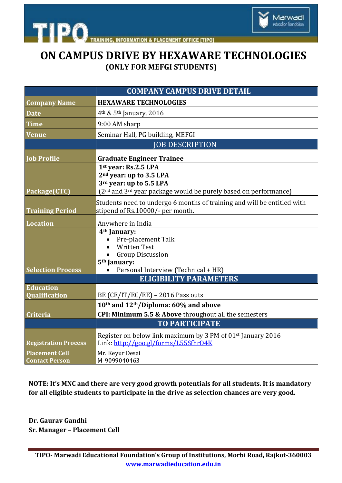

**INFORMATION & PLACEMENT OFFICE [TIPO]** 

## **ON CAMPUS DRIVE BY HEXAWARE TECHNOLOGIES (ONLY FOR MEFGI STUDENTS)**

|                                                | <b>COMPANY CAMPUS DRIVE DETAIL</b>                                                                                                                                                |
|------------------------------------------------|-----------------------------------------------------------------------------------------------------------------------------------------------------------------------------------|
| <b>Company Name</b>                            | <b>HEXAWARE TECHNOLOGIES</b>                                                                                                                                                      |
| <b>Date</b>                                    | $4th$ & 5 <sup>th</sup> January, 2016                                                                                                                                             |
| <b>Time</b>                                    | 9:00 AM sharp                                                                                                                                                                     |
| <b>Venue</b>                                   | Seminar Hall, PG building, MEFGI                                                                                                                                                  |
|                                                | <b>JOB DESCRIPTION</b>                                                                                                                                                            |
| <b>Job Profile</b>                             | <b>Graduate Engineer Trainee</b>                                                                                                                                                  |
| Package(CTC)                                   | 1st year: Rs.2.5 LPA<br>2 <sup>nd</sup> year: up to 3.5 LPA<br>3rd year: up to 5.5 LPA<br>(2 <sup>nd</sup> and 3 <sup>rd</sup> year package would be purely based on performance) |
| <b>Training Period</b>                         | Students need to undergo 6 months of training and will be entitled with<br>stipend of Rs.10000/- per month.                                                                       |
| <b>Location</b>                                | Anywhere in India<br>4 <sup>th</sup> January:<br>Pre-placement Talk<br><b>Written Test</b><br><b>Group Discussion</b>                                                             |
| <b>Selection Process</b>                       | 5 <sup>th</sup> January:<br>Personal Interview (Technical + HR)                                                                                                                   |
|                                                | <b>ELIGIBILITY PARAMETERS</b>                                                                                                                                                     |
| <b>Education</b><br>Qualification              | BE (CE/IT/EC/EE) - 2016 Pass outs                                                                                                                                                 |
|                                                | 10th and 12th/Diploma: 60% and above                                                                                                                                              |
| <b>Criteria</b>                                | CPI: Minimum 5.5 & Above throughout all the semesters                                                                                                                             |
|                                                | <b>TO PARTICIPATE</b>                                                                                                                                                             |
| <b>Registration Process</b>                    | Register on below link maximum by 3 PM of 01 <sup>st</sup> January 2016<br>Link: http://goo.gl/forms/L55Sfhr04K                                                                   |
| <b>Placement Cell</b><br><b>Contact Person</b> | Mr. Keyur Desai<br>M-9099040463                                                                                                                                                   |

**NOTE: It's MNC and there are very good growth potentials for all students. It is mandatory for all eligible students to participate in the drive as selection chances are very good.** 

**Dr. Gaurav Gandhi Sr. Manager – Placement Cell**